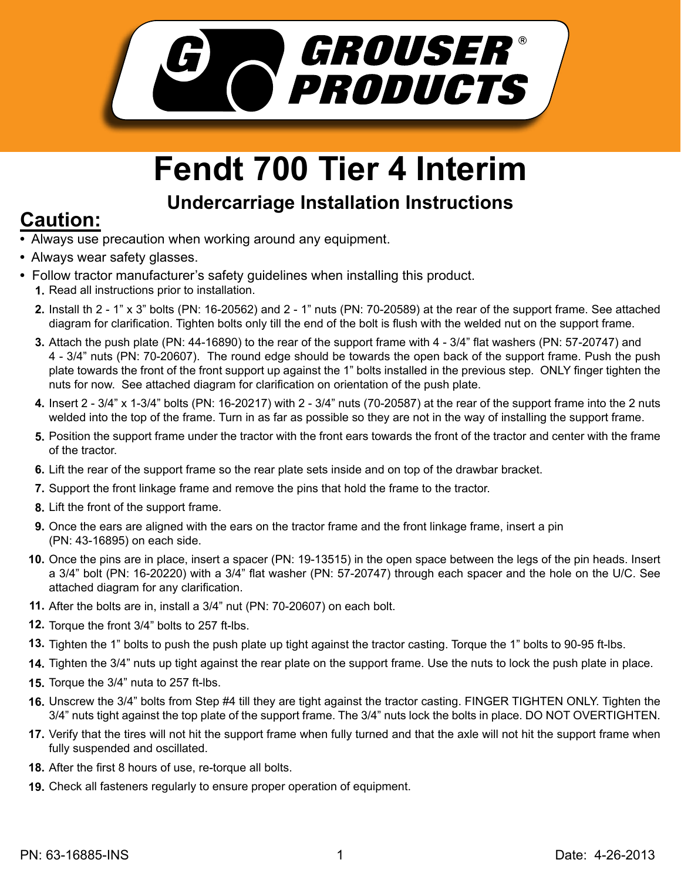

## **Fendt 700 Tier 4 Interim**

## **Undercarriage Installation Instructions Caution:**

- Always use precaution when working around any equipment.
- Always wear safety glasses.
- Follow tractor manufacturer's safety guidelines when installing this product. 1. Read all instructions prior to installation.
	- Install th 2 1" x 3" bolts (PN: 16-20562) and 2 1" nuts (PN: 70-20589) at the rear of the support frame. See attached **2.** diagram for clarification. Tighten bolts only till the end of the bolt is flush with the welded nut on the support frame.
	- Attach the push plate (PN: 44-16890) to the rear of the support frame with 4 3/4" flat washers (PN: 57-20747) and **3.** 4 - 3/4" nuts (PN: 70-20607). The round edge should be towards the open back of the support frame. Push the push plate towards the front of the front support up against the 1" bolts installed in the previous step. ONLY finger tighten the nuts for now. See attached diagram for clarification on orientation of the push plate.
	- Insert 2 3/4" x 1-3/4" bolts (PN: 16-20217) with 2 3/4" nuts (70-20587) at the rear of the support frame into the 2 nuts **4.** welded into the top of the frame. Turn in as far as possible so they are not in the way of installing the support frame.
	- **5.** Position the support frame under the tractor with the front ears towards the front of the tractor and center with the frame of the tractor.
	- **6.** Lift the rear of the support frame so the rear plate sets inside and on top of the drawbar bracket.
	- Support the front linkage frame and remove the pins that hold the frame to the tractor. **7.**
	- **8.** Lift the front of the support frame.
	- **9.** Once the ears are aligned with the ears on the tractor frame and the front linkage frame, insert a pin (PN: 43-16895) on each side.
	- **10.** Once the pins are in place, insert a spacer (PN: 19-13515) in the open space between the legs of the pin heads. Insert a 3/4" bolt (PN: 16-20220) with a 3/4" flat washer (PN: 57-20747) through each spacer and the hole on the U/C. See attached diagram for any clarification.
	- After the bolts are in, install a 3/4" nut (PN: 70-20607) on each bolt. **11.**
	- **12.** Torque the front 3/4" bolts to 257 ft-lbs.
	- **13.** Tighten the 1" bolts to push the push plate up tight against the tractor casting. Torque the 1" bolts to 90-95 ft-lbs.
	- **14.** Tighten the 3/4" nuts up tight against the rear plate on the support frame. Use the nuts to lock the push plate in place.
	- Torque the 3/4" nuta to 257 ft-lbs. **15.**
	- 16. Unscrew the 3/4" bolts from Step #4 till they are tight against the tractor casting. FINGER TIGHTEN ONLY. Tighten the 3/4" nuts tight against the top plate of the support frame. The 3/4" nuts lock the bolts in place. DO NOT OVERTIGHTEN.
	- **17.** Verify that the tires will not hit the support frame when fully turned and that the axle will not hit the support frame when fully suspended and oscillated.
	- After the first 8 hours of use, re-torque all bolts. **18.**
	- Check all fasteners regularly to ensure proper operation of equipment. **19.**